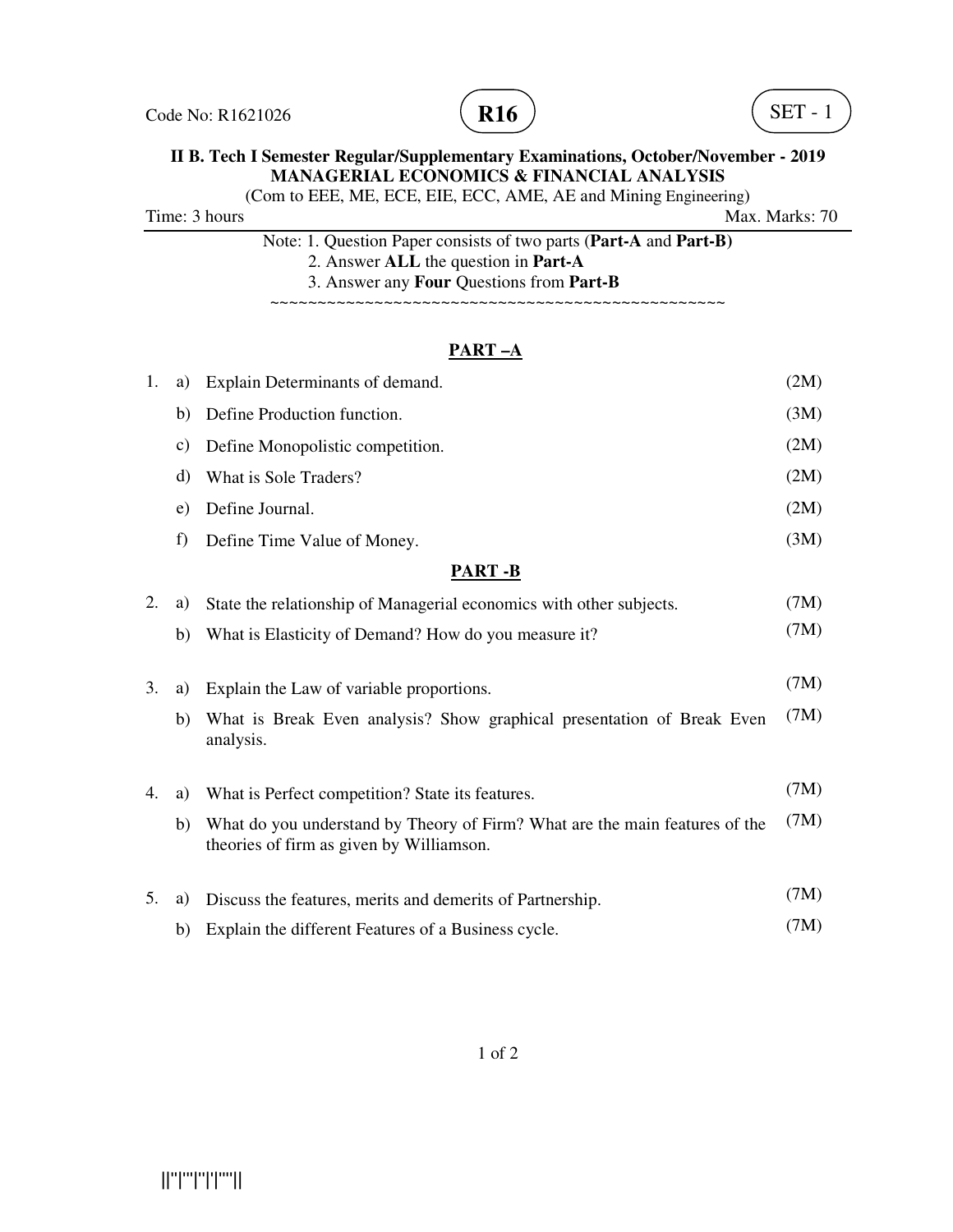



(Com to EEE, ME, ECE, EIE, ECC, AME, AE and Mining Engineering)

Time: 3 hours Max. Marks: 70

| Note: 1. Question Paper consists of two parts ( <b>Part-A</b> and <b>Part-B</b> ) |
|-----------------------------------------------------------------------------------|
| 2. Answer ALL the question in <b>Part-A</b>                                       |
| 3. Answer any <b>Four</b> Questions from <b>Part-B</b>                            |

~~~~~~~~~~~~~~~~~~~~~~~~~~~~~~~~~~~~~~~~~~~~~~~~

## **PART –A**

| 1. | a)            | Explain Determinants of demand.                                                                                         | (2M) |
|----|---------------|-------------------------------------------------------------------------------------------------------------------------|------|
|    | b)            | Define Production function.                                                                                             | (3M) |
|    | $\mathbf{c})$ | Define Monopolistic competition.                                                                                        | (2M) |
|    | d)            | What is Sole Traders?                                                                                                   | (2M) |
|    | e)            | Define Journal.                                                                                                         | (2M) |
|    | f)            | Define Time Value of Money.                                                                                             | (3M) |
|    |               | <b>PART-B</b>                                                                                                           |      |
| 2. | a)            | State the relationship of Managerial economics with other subjects.                                                     | (7M) |
|    | b)            | What is Elasticity of Demand? How do you measure it?                                                                    | (7M) |
|    |               |                                                                                                                         |      |
| 3. | a)            | Explain the Law of variable proportions.                                                                                | (7M) |
|    | b)            | What is Break Even analysis? Show graphical presentation of Break Even<br>analysis.                                     | (7M) |
|    |               |                                                                                                                         | (7M) |
| 4. | a)            | What is Perfect competition? State its features.                                                                        |      |
|    | b)            | What do you understand by Theory of Firm? What are the main features of the<br>theories of firm as given by Williamson. | (7M) |
| 5. | a)            | Discuss the features, merits and demerits of Partnership.                                                               | (7M) |
|    | b)            | Explain the different Features of a Business cycle.                                                                     | (7M) |
|    |               |                                                                                                                         |      |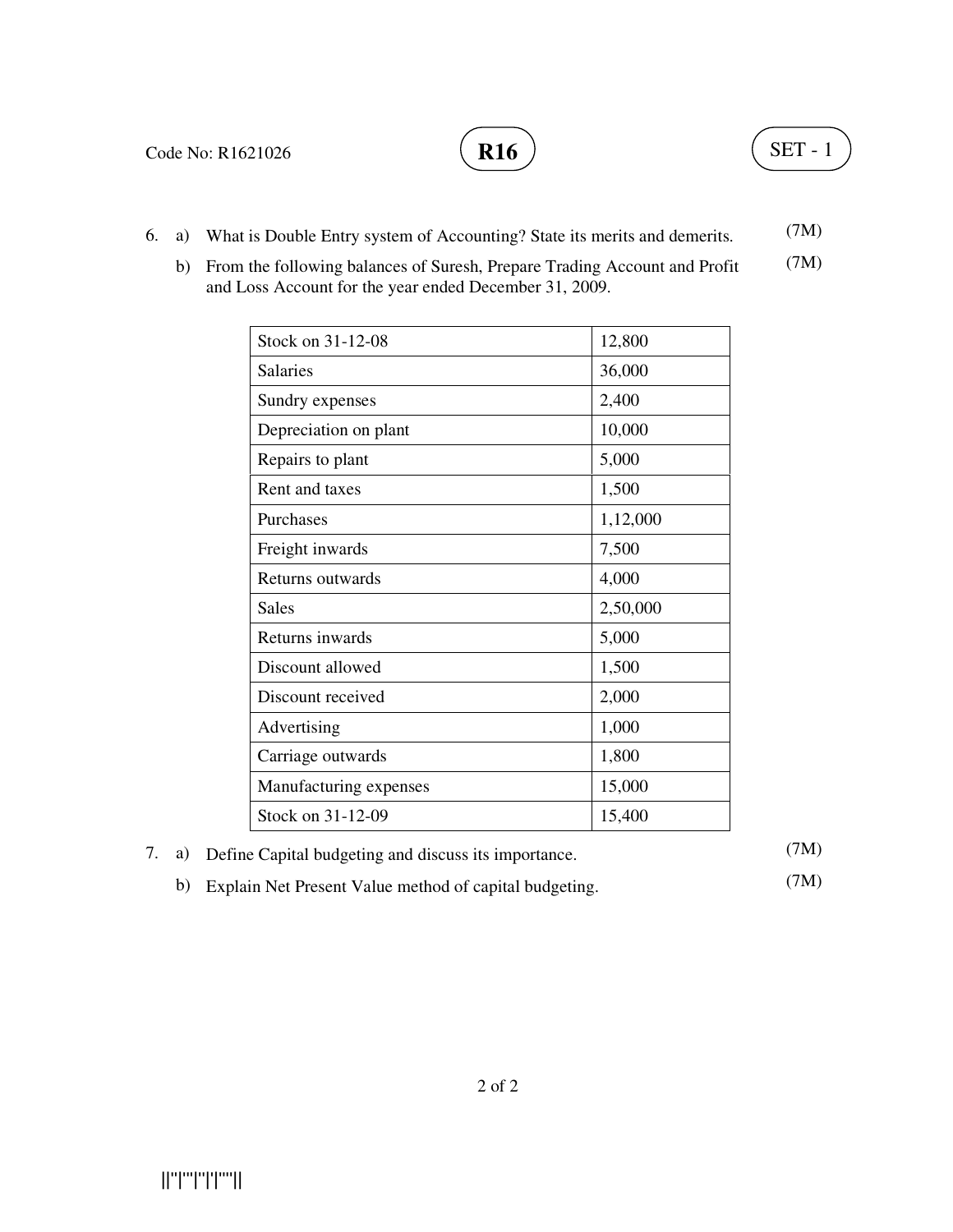# **R16**  $\big)$  (SET - 1)

- 6. a) What is Double Entry system of Accounting? State its merits and demerits. (7M)
	- b) From the following balances of Suresh, Prepare Trading Account and Profit and Loss Account for the year ended December 31, 2009. (7M)

| Stock on 31-12-08      | 12,800   |
|------------------------|----------|
| <b>Salaries</b>        | 36,000   |
| Sundry expenses        | 2,400    |
| Depreciation on plant  | 10,000   |
| Repairs to plant       | 5,000    |
| Rent and taxes         | 1,500    |
| Purchases              | 1,12,000 |
| Freight inwards        | 7,500    |
| Returns outwards       | 4,000    |
| Sales                  | 2,50,000 |
| Returns inwards        | 5,000    |
| Discount allowed       | 1,500    |
| Discount received      | 2,000    |
| Advertising            | 1,000    |
| Carriage outwards      | 1,800    |
| Manufacturing expenses | 15,000   |
| Stock on 31-12-09      | 15,400   |

7. a) Define Capital budgeting and discuss its importance.

(7M)

b) Explain Net Present Value method of capital budgeting. (7M)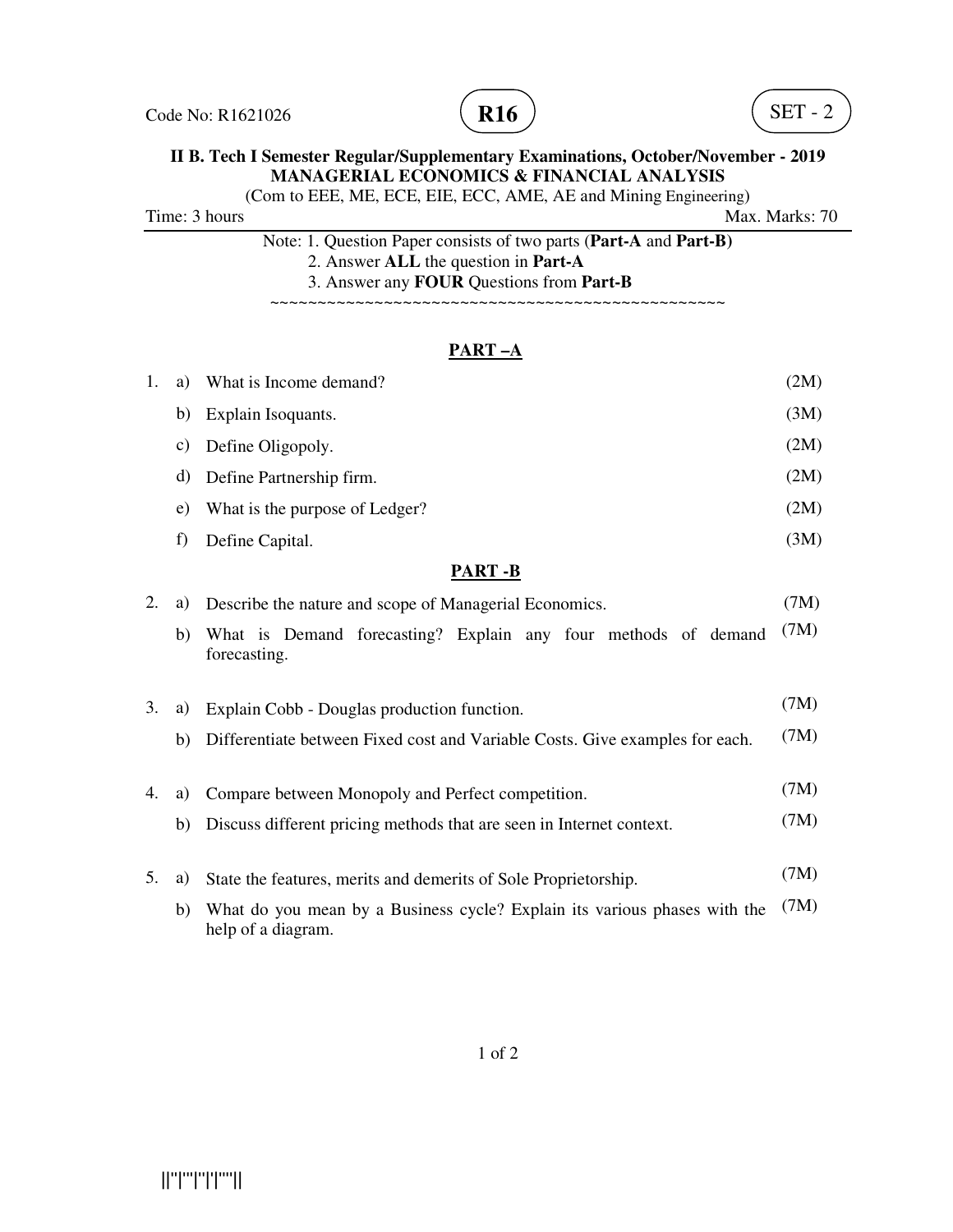



(Com to EEE, ME, ECE, EIE, ECC, AME, AE and Mining Engineering)

Time: 3 hours Max. Marks: 70

Note: 1. Question Paper consists of two parts (**Part-A** and **Part-B)** 2. Answer **ALL** the question in **Part-A** 3. Answer any **FOUR** Questions from **Part-B**

~~~~~~~~~~~~~~~~~~~~~~~~~~~~~~~~~~~~~~~~~~~~~~~~

## **PART –A**

| 1. | a) | What is Income demand?                                                         | (2M) |
|----|----|--------------------------------------------------------------------------------|------|
|    | b) | Explain Isoquants.                                                             | (3M) |
|    | C) | Define Oligopoly.                                                              | (2M) |
|    | d) | Define Partnership firm.                                                       | (2M) |
|    | e) | What is the purpose of Ledger?                                                 | (2M) |
|    | f) | Define Capital.                                                                | (3M) |
|    |    | <b>PART-B</b>                                                                  |      |
|    | a) | Describe the nature and scope of Managerial Economics.                         | (7M) |
|    | b) | What is Demand forecasting? Explain any four methods of demand<br>forecasting. | (7M) |
| 3. | a) | Explain Cobb - Douglas production function.                                    | (7M) |
|    | b) | Differentiate between Fixed cost and Variable Costs. Give examples for each.   | (7M) |

- 4. a) Compare between Monopoly and Perfect competition. (7M)
	- b) Discuss different pricing methods that are seen in Internet context. (7M)
- 5. a) State the features, merits and demerits of Sole Proprietorship. (7M)
- b) What do you mean by a Business cycle? Explain its various phases with the  $(7M)$ help of a diagram.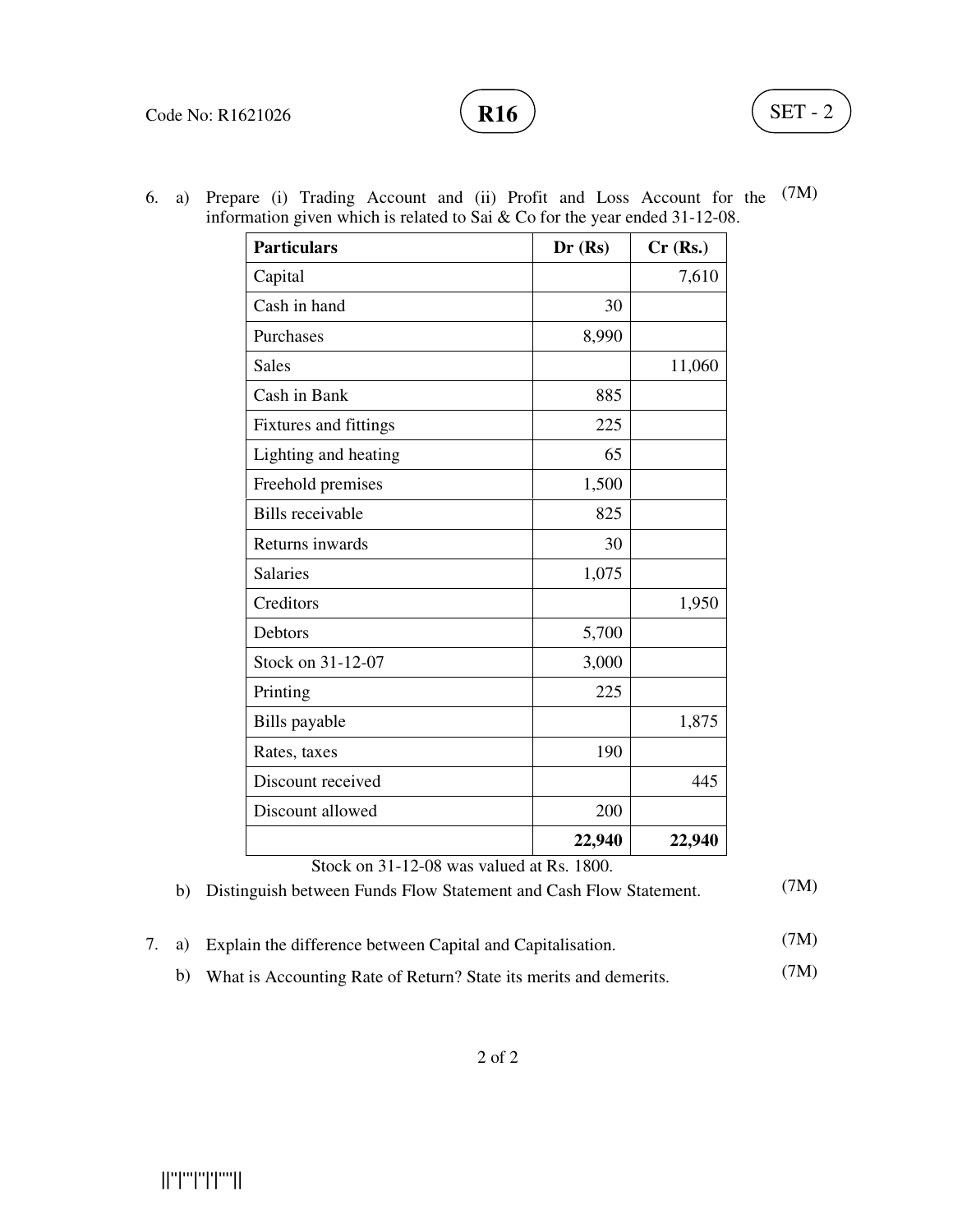

**R16**  $\left( \text{SET - 2} \right)$ 

6. a) Prepare (i) Trading Account and (ii) Profit and Loss Account for the (7M) information given which is related to Sai & Co for the year ended 31-12-08.

| <b>Particulars</b>      | Dr(Rs) | $Cr$ (Rs.) |
|-------------------------|--------|------------|
| Capital                 |        | 7,610      |
| Cash in hand            | 30     |            |
| Purchases               | 8,990  |            |
| <b>Sales</b>            |        | 11,060     |
| Cash in Bank            | 885    |            |
| Fixtures and fittings   | 225    |            |
| Lighting and heating    | 65     |            |
| Freehold premises       | 1,500  |            |
| <b>Bills</b> receivable | 825    |            |
| Returns inwards         | 30     |            |
| <b>Salaries</b>         | 1,075  |            |
| Creditors               |        | 1,950      |
| Debtors                 | 5,700  |            |
| Stock on 31-12-07       | 3,000  |            |
| Printing                | 225    |            |
| Bills payable           |        | 1,875      |
| Rates, taxes            | 190    |            |
| Discount received       |        | 445        |
| Discount allowed        | 200    |            |
|                         | 22,940 | 22,940     |

Stock on 31-12-08 was valued at Rs. 1800.

b) Distinguish between Funds Flow Statement and Cash Flow Statement. (7M)

- 7. a) Explain the difference between Capital and Capitalisation. (7M)
	- b) What is Accounting Rate of Return? State its merits and demerits. (7M)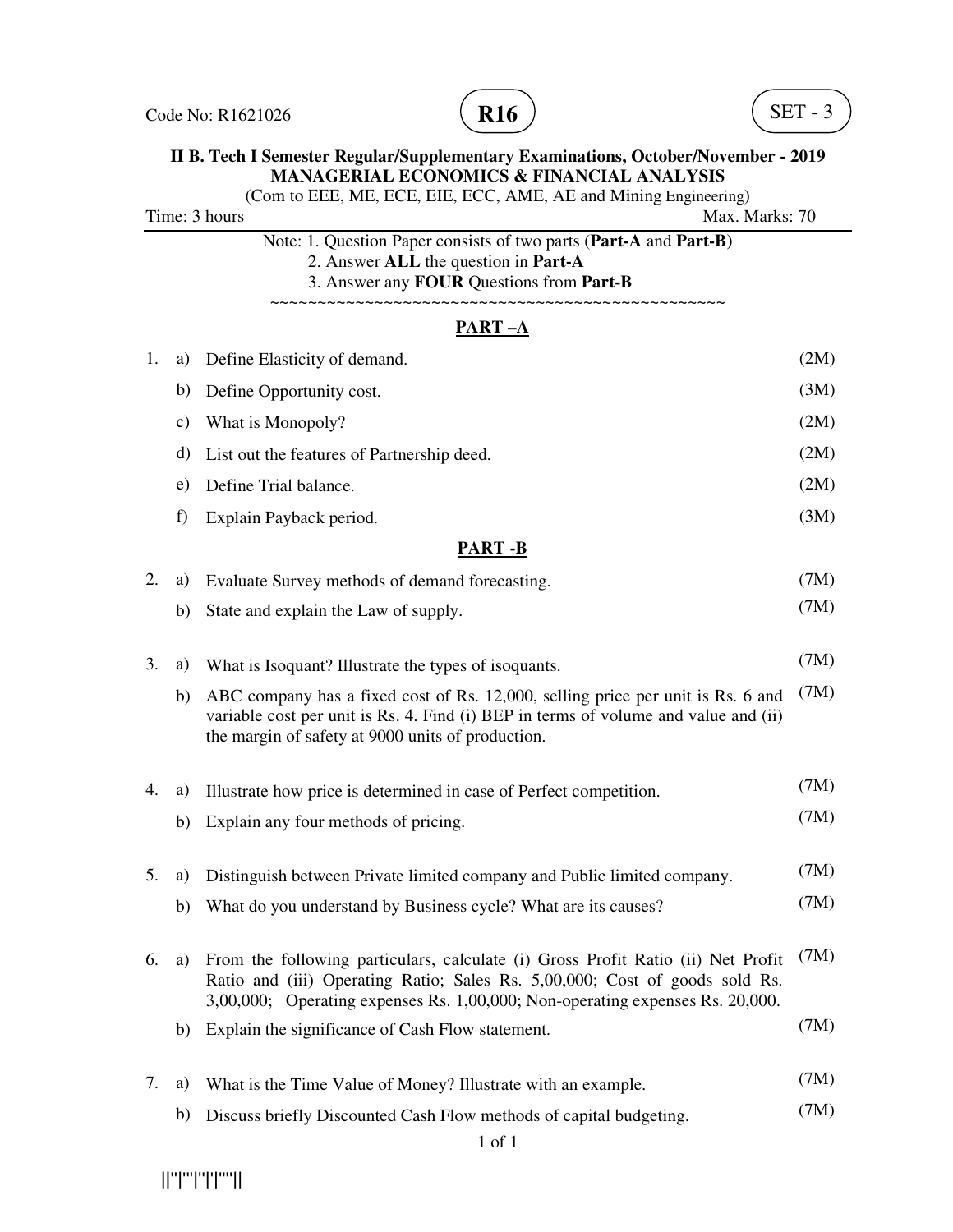

(Com to EEE, ME, ECE, EIE, ECC, AME, AE and Mining Engineering)

Time: 3 hours Max. Marks: 70

| Note: 1. Question Paper consists of two parts (Part-A and Part-B) |
|-------------------------------------------------------------------|
| 2. Answer ALL the question in <b>Part-A</b>                       |
| 3. Answer any <b>FOUR</b> Questions from <b>Part-B</b>            |

~~~~~~~~~~~~~~~~~~~~~~~~~~~~~~~~~~~~~~~~~~~~~~~~

### **PART –A**

| 1. |    | a) Define Elasticity of demand.               | (2M) |
|----|----|-----------------------------------------------|------|
|    |    | b) Define Opportunity cost.                   | (3M) |
|    | C) | What is Monopoly?                             | (2M) |
|    |    | d) List out the features of Partnership deed. | (2M) |
|    | e) | Define Trial balance.                         | (2M) |
|    | f) | Explain Payback period.                       | (3M) |

#### **PART -B**

|    |    | TANI -D                                                                                                                                                                                                                                          |      |
|----|----|--------------------------------------------------------------------------------------------------------------------------------------------------------------------------------------------------------------------------------------------------|------|
| 2. | a) | Evaluate Survey methods of demand forecasting.                                                                                                                                                                                                   | (7M) |
|    | b) | State and explain the Law of supply.                                                                                                                                                                                                             | (7M) |
| 3. | a) | What is Isoquant? Illustrate the types of isoquants.                                                                                                                                                                                             | (7M) |
|    | b) | ABC company has a fixed cost of Rs. 12,000, selling price per unit is Rs. 6 and<br>variable cost per unit is Rs. 4. Find (i) BEP in terms of volume and value and (ii)<br>the margin of safety at 9000 units of production.                      | (7M) |
| 4. | a) | Illustrate how price is determined in case of Perfect competition.                                                                                                                                                                               | (7M) |
|    | b) | Explain any four methods of pricing.                                                                                                                                                                                                             | (7M) |
| 5. | a) | Distinguish between Private limited company and Public limited company.                                                                                                                                                                          | (7M) |
|    | b) | What do you understand by Business cycle? What are its causes?                                                                                                                                                                                   | (7M) |
| 6. | a) | From the following particulars, calculate (i) Gross Profit Ratio (ii) Net Profit<br>Ratio and (iii) Operating Ratio; Sales Rs. 5,00,000; Cost of goods sold Rs.<br>3,00,000; Operating expenses Rs. 1,00,000; Non-operating expenses Rs. 20,000. | (7M) |
|    | b) | Explain the significance of Cash Flow statement.                                                                                                                                                                                                 | (7M) |
| 7. | a) | What is the Time Value of Money? Illustrate with an example.                                                                                                                                                                                     | (7M) |

b) Discuss briefly Discounted Cash Flow methods of capital budgeting. (7M)

||''|'''|''|'|''''||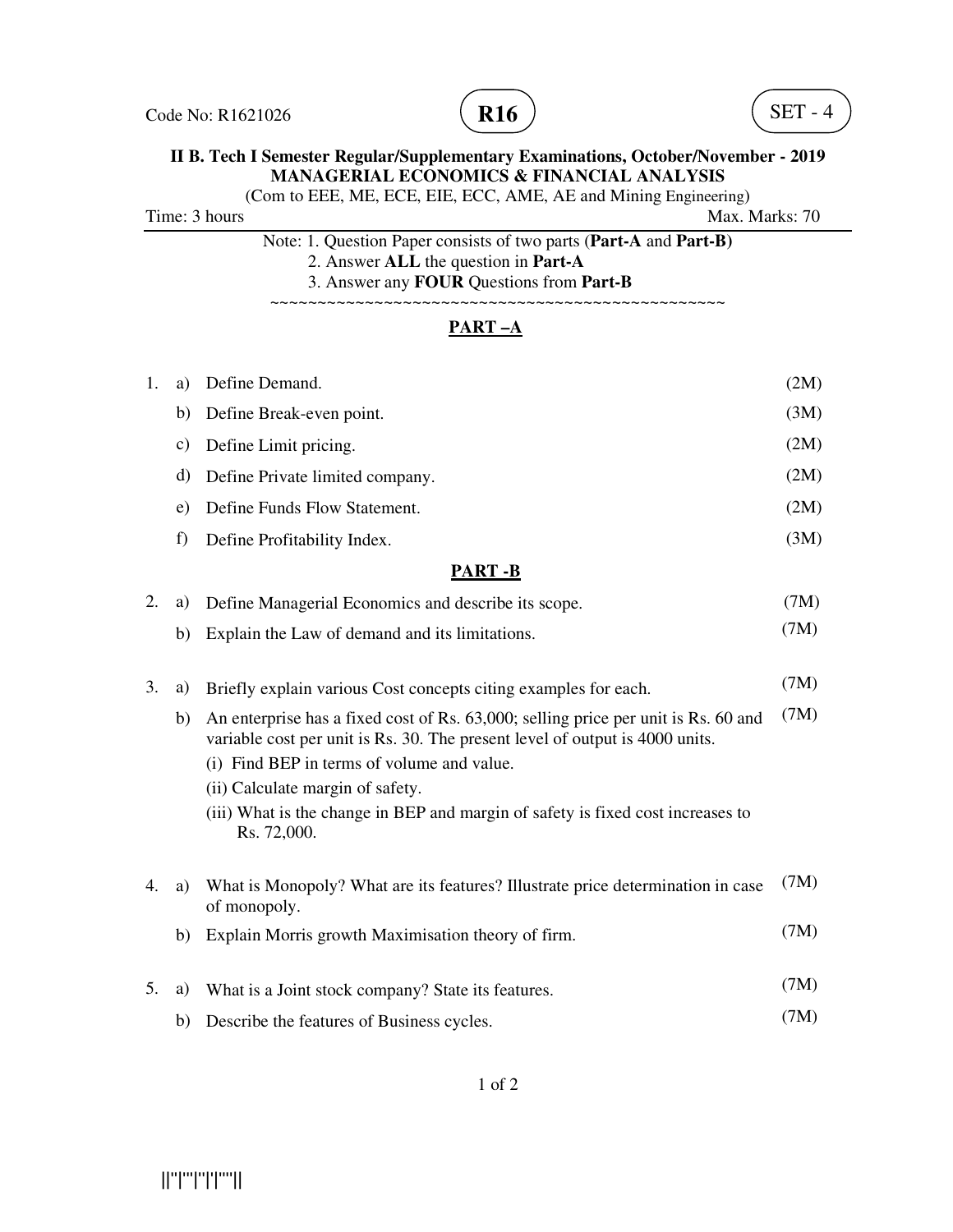



(Com to EEE, ME, ECE, EIE, ECC, AME, AE and Mining Engineering)

Time: 3 hours Max. Marks: 70

Note: 1. Question Paper consists of two parts (**Part-A** and **Part-B)** 2. Answer **ALL** the question in **Part-A**

3. Answer any **FOUR** Questions from **Part-B**

 $~\sim~\sim~\sim~\sim~\sim~\sim~\sim~\sim~\sim~\sim~\sim~\sim$ 

# **PART –A**

| 1. | a)            | Define Demand.                                                                                                                                                                                                   | (2M) |
|----|---------------|------------------------------------------------------------------------------------------------------------------------------------------------------------------------------------------------------------------|------|
|    | b)            | Define Break-even point.                                                                                                                                                                                         | (3M) |
|    | $\mathbf{c})$ | Define Limit pricing.                                                                                                                                                                                            | (2M) |
|    | d)            | Define Private limited company.                                                                                                                                                                                  | (2M) |
|    | e)            | Define Funds Flow Statement.                                                                                                                                                                                     | (2M) |
|    | f)            | Define Profitability Index.                                                                                                                                                                                      | (3M) |
|    |               | <b>PART-B</b>                                                                                                                                                                                                    |      |
| 2. | a)            | Define Managerial Economics and describe its scope.                                                                                                                                                              | (7M) |
|    | b)            | Explain the Law of demand and its limitations.                                                                                                                                                                   | (7M) |
| 3. | a)            | Briefly explain various Cost concepts citing examples for each.                                                                                                                                                  | (7M) |
|    | b)            | An enterprise has a fixed cost of Rs. 63,000; selling price per unit is Rs. 60 and<br>variable cost per unit is Rs. 30. The present level of output is 4000 units.<br>(i) Find BEP in terms of volume and value. | (7M) |
|    |               | (ii) Calculate margin of safety.<br>(iii) What is the change in BEP and margin of safety is fixed cost increases to<br>Rs. 72,000.                                                                               |      |
|    |               |                                                                                                                                                                                                                  |      |
| 4. | a)            | What is Monopoly? What are its features? Illustrate price determination in case<br>of monopoly.                                                                                                                  | (7M) |
|    | b)            | Explain Morris growth Maximisation theory of firm.                                                                                                                                                               | (7M) |
| 5. | a)            | What is a Joint stock company? State its features.                                                                                                                                                               | (7M) |
|    | b)            | Describe the features of Business cycles.                                                                                                                                                                        | (7M) |